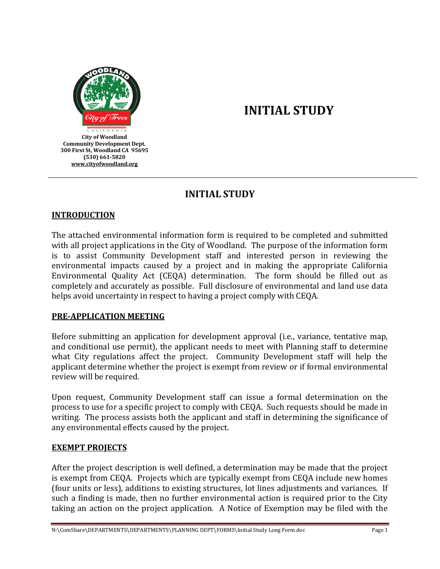

# **INITIAL STUDY**

### **INITIAL STUDY**

#### **INTRODUCTION**

The attached environmental information form is required to be completed and submitted with all project applications in the City of Woodland. The purpose of the information form is to assist Community Development staff and interested person in reviewing the environmental impacts caused by a project and in making the appropriate California Environmental Quality Act (CEQA) determination. The form should be filled out as completely and accurately as possible. Full disclosure of environmental and land use data helps avoid uncertainty in respect to having a project comply with CEQA.

#### **PRE-APPLICATION MEETING**

Before submitting an application for development approval (i.e., variance, tentative map, and conditional use permit), the applicant needs to meet with Planning staff to determine what City regulations affect the project. Community Development staff will help the applicant determine whether the project is exempt from review or if formal environmental review will be required.

Upon request, Community Development staff can issue a formal determination on the process to use for a specific project to comply with CEQA. Such requests should be made in writing. The process assists both the applicant and staff in determining the significance of any environmental effects caused by the project.

#### **EXEMPT PROJECTS**

After the project description is well defined, a determination may be made that the project is exempt from CEQA. Projects which are typically exempt from CEQA include new homes (four units or less), additions to existing structures, lot lines adjustments and variances. If such a finding is made, then no further environmental action is required prior to the City taking an action on the project application. A Notice of Exemption may be filed with the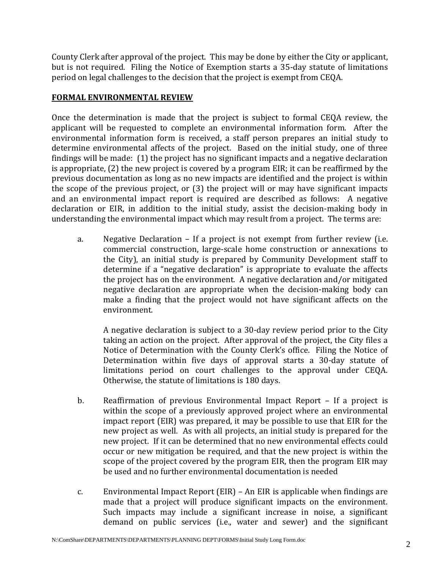County Clerk after approval of the project. This may be done by either the City or applicant, but is not required. Filing the Notice of Exemption starts a 35-day statute of limitations period on legal challenges to the decision that the project is exempt from CEQA.

#### **FORMAL ENVIRONMENTAL REVIEW**

Once the determination is made that the project is subject to formal CEQA review, the applicant will be requested to complete an environmental information form. After the environmental information form is received, a staff person prepares an initial study to determine environmental affects of the project. Based on the initial study, one of three findings will be made: (1) the project has no significant impacts and a negative declaration is appropriate, (2) the new project is covered by a program EIR; it can be reaffirmed by the previous documentation as long as no new impacts are identified and the project is within the scope of the previous project, or (3) the project will or may have significant impacts and an environmental impact report is required are described as follows: A negative declaration or EIR, in addition to the initial study, assist the decision-making body in understanding the environmental impact which may result from a project. The terms are:

a. Negative Declaration – If a project is not exempt from further review (i.e. commercial construction, large-scale home construction or annexations to the City), an initial study is prepared by Community Development staff to determine if a "negative declaration" is appropriate to evaluate the affects the project has on the environment. A negative declaration and/or mitigated negative declaration are appropriate when the decision-making body can make a finding that the project would not have significant affects on the environment.

A negative declaration is subject to a 30-day review period prior to the City taking an action on the project. After approval of the project, the City files a Notice of Determination with the County Clerk's office. Filing the Notice of Determination within five days of approval starts a 30-day statute of limitations period on court challenges to the approval under CEQA. Otherwise, the statute of limitations is 180 days.

- b. Reaffirmation of previous Environmental Impact Report If a project is within the scope of a previously approved project where an environmental impact report (EIR) was prepared, it may be possible to use that EIR for the new project as well. As with all projects, an initial study is prepared for the new project. If it can be determined that no new environmental effects could occur or new mitigation be required, and that the new project is within the scope of the project covered by the program EIR, then the program EIR may be used and no further environmental documentation is needed
- c. Environmental Impact Report (EIR) An EIR is applicable when findings are made that a project will produce significant impacts on the environment. Such impacts may include a significant increase in noise, a significant demand on public services (i.e., water and sewer) and the significant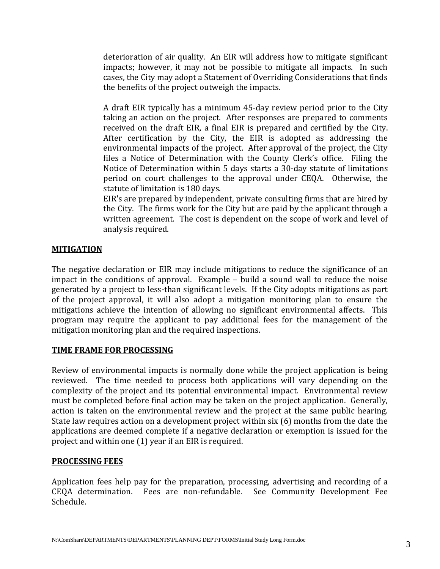deterioration of air quality. An EIR will address how to mitigate significant impacts; however, it may not be possible to mitigate all impacts. In such cases, the City may adopt a Statement of Overriding Considerations that finds the benefits of the project outweigh the impacts.

A draft EIR typically has a minimum 45-day review period prior to the City taking an action on the project. After responses are prepared to comments received on the draft EIR, a final EIR is prepared and certified by the City. After certification by the City, the EIR is adopted as addressing the environmental impacts of the project. After approval of the project, the City files a Notice of Determination with the County Clerk's office. Filing the Notice of Determination within 5 days starts a 30-day statute of limitations period on court challenges to the approval under CEQA. Otherwise, the statute of limitation is 180 days.

EIR's are prepared by independent, private consulting firms that are hired by the City. The firms work for the City but are paid by the applicant through a written agreement. The cost is dependent on the scope of work and level of analysis required.

#### **MITIGATION**

The negative declaration or EIR may include mitigations to reduce the significance of an impact in the conditions of approval. Example – build a sound wall to reduce the noise generated by a project to less-than significant levels. If the City adopts mitigations as part of the project approval, it will also adopt a mitigation monitoring plan to ensure the mitigations achieve the intention of allowing no significant environmental affects. This program may require the applicant to pay additional fees for the management of the mitigation monitoring plan and the required inspections.

#### **TIME FRAME FOR PROCESSING**

Review of environmental impacts is normally done while the project application is being reviewed. The time needed to process both applications will vary depending on the complexity of the project and its potential environmental impact. Environmental review must be completed before final action may be taken on the project application. Generally, action is taken on the environmental review and the project at the same public hearing. State law requires action on a development project within six (6) months from the date the applications are deemed complete if a negative declaration or exemption is issued for the project and within one (1) year if an EIR is required.

#### **PROCESSING FEES**

Application fees help pay for the preparation, processing, advertising and recording of a CEQA determination. Fees are non-refundable. See Community Development Fee Schedule.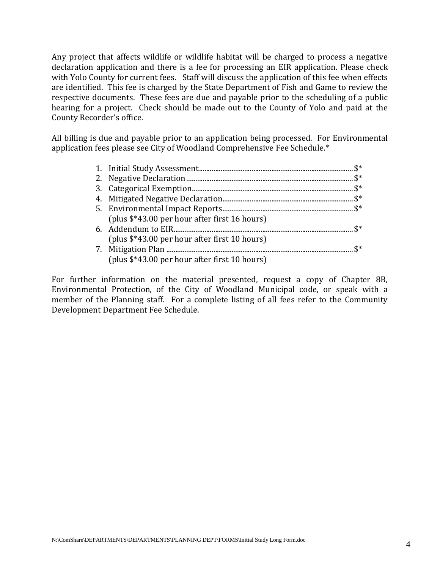Any project that affects wildlife or wildlife habitat will be charged to process a negative declaration application and there is a fee for processing an EIR application. Please check with Yolo County for current fees. Staff will discuss the application of this fee when effects are identified. This fee is charged by the State Department of Fish and Game to review the respective documents. These fees are due and payable prior to the scheduling of a public hearing for a project. Check should be made out to the County of Yolo and paid at the County Recorder's office.

All billing is due and payable prior to an application being processed. For Environmental application fees please see City of Woodland Comprehensive Fee Schedule.\*

| (plus \$*43.00 per hour after first 16 hours) |  |
|-----------------------------------------------|--|
|                                               |  |
| (plus \$*43.00 per hour after first 10 hours) |  |
|                                               |  |
| (plus \$*43.00 per hour after first 10 hours) |  |

For further information on the material presented, request a copy of Chapter 8B, Environmental Protection, of the City of Woodland Municipal code, or speak with a member of the Planning staff. For a complete listing of all fees refer to the Community Development Department Fee Schedule.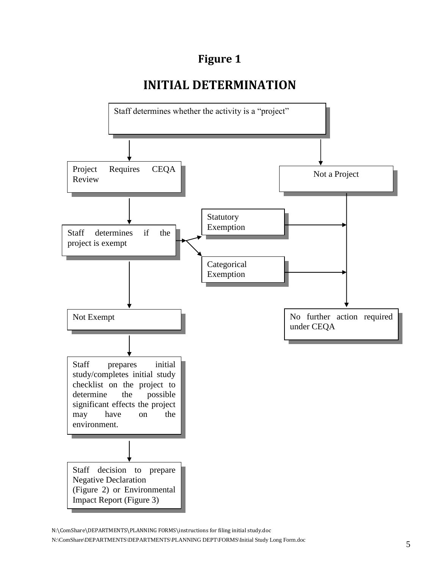## **Figure 1**

# **INITIAL DETERMINATION**



N:\ComShare\DEPARTMENTS\PLANNING FORMS\instructions for filing initial study.doc

N:\ComShare\DEPARTMENTS\DEPARTMENTS\PLANNING DEPT\FORMS\Initial Study Long Form.doc 5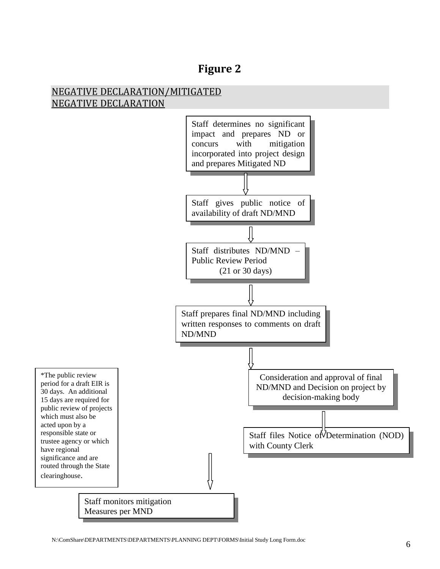### NEGATIVE DECLARATION/MITIGATED NEGATIVE DECLARATION